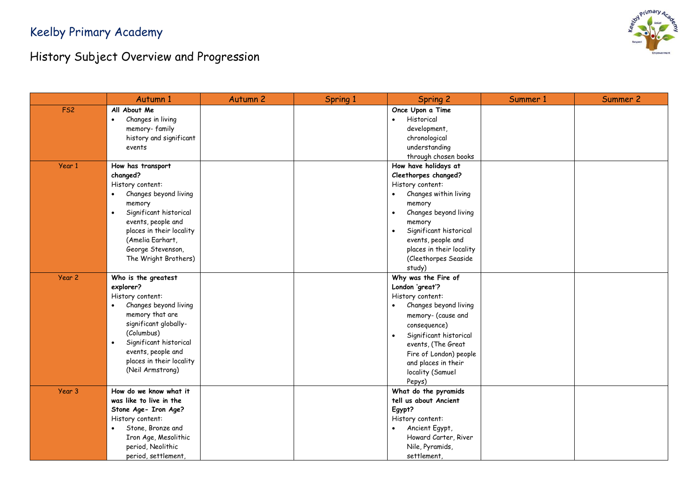

|                 | Autumn 1                            | <b>Autumn 2</b> | Spring 1 | <b>Spring 2</b>                     | Summer 1 | Summer 2 |
|-----------------|-------------------------------------|-----------------|----------|-------------------------------------|----------|----------|
| FS <sub>2</sub> | All About Me                        |                 |          | Once Upon a Time                    |          |          |
|                 | Changes in living<br>$\bullet$      |                 |          | Historical<br>$\bullet$             |          |          |
|                 | memory-family                       |                 |          | development,                        |          |          |
|                 | history and significant             |                 |          | chronological                       |          |          |
|                 | events                              |                 |          | understanding                       |          |          |
|                 |                                     |                 |          | through chosen books                |          |          |
| Year 1          | How has transport                   |                 |          | How have holidays at                |          |          |
|                 | changed?                            |                 |          | Cleethorpes changed?                |          |          |
|                 | History content:                    |                 |          | History content:                    |          |          |
|                 | Changes beyond living<br>$\bullet$  |                 |          | Changes within living               |          |          |
|                 | memory                              |                 |          | memory                              |          |          |
|                 | Significant historical<br>$\bullet$ |                 |          | Changes beyond living               |          |          |
|                 | events, people and                  |                 |          | memory                              |          |          |
|                 | places in their locality            |                 |          | Significant historical<br>$\bullet$ |          |          |
|                 | (Amelia Earhart,                    |                 |          | events, people and                  |          |          |
|                 | George Stevenson,                   |                 |          | places in their locality            |          |          |
|                 | The Wright Brothers)                |                 |          | (Cleethorpes Seaside                |          |          |
|                 |                                     |                 |          | study)                              |          |          |
| Year 2          | Who is the greatest                 |                 |          | Why was the Fire of                 |          |          |
|                 | explorer?                           |                 |          | London 'great'?                     |          |          |
|                 | History content:                    |                 |          | History content:                    |          |          |
|                 | Changes beyond living<br>$\bullet$  |                 |          | Changes beyond living<br>$\bullet$  |          |          |
|                 | memory that are                     |                 |          | memory- (cause and                  |          |          |
|                 | significant globally-               |                 |          | consequence)                        |          |          |
|                 | (Columbus)                          |                 |          | Significant historical              |          |          |
|                 | Significant historical<br>$\bullet$ |                 |          | events, (The Great                  |          |          |
|                 | events, people and                  |                 |          | Fire of London) people              |          |          |
|                 | places in their locality            |                 |          | and places in their                 |          |          |
|                 | (Neil Armstrong)                    |                 |          | locality (Samuel                    |          |          |
|                 |                                     |                 |          | Pepys)                              |          |          |
| Year 3          | How do we know what it              |                 |          | What do the pyramids                |          |          |
|                 | was like to live in the             |                 |          | tell us about Ancient               |          |          |
|                 | Stone Age- Iron Age?                |                 |          | Egypt?                              |          |          |
|                 | History content:                    |                 |          | History content:                    |          |          |
|                 | Stone, Bronze and<br>$\bullet$      |                 |          | Ancient Egypt,                      |          |          |
|                 | Iron Age, Mesolithic                |                 |          | Howard Carter, River                |          |          |
|                 | period, Neolithic                   |                 |          | Nile, Pyramids,                     |          |          |
|                 | period, settlement,                 |                 |          | settlement,                         |          |          |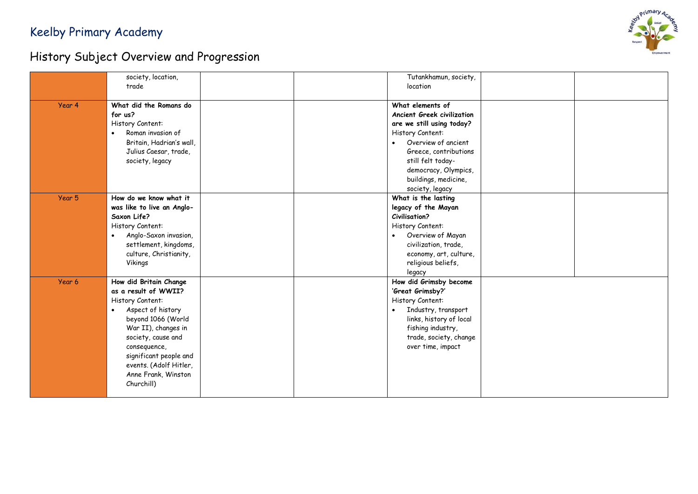

|        | society, location,<br>trade                                                                                                                                                                                                                                                      |  | Tutankhamun, society,<br>location                                                                                                                                                                                                       |  |
|--------|----------------------------------------------------------------------------------------------------------------------------------------------------------------------------------------------------------------------------------------------------------------------------------|--|-----------------------------------------------------------------------------------------------------------------------------------------------------------------------------------------------------------------------------------------|--|
| Year 4 | What did the Romans do<br>for us?<br>History Content:<br>Roman invasion of<br>$\bullet$<br>Britain, Hadrian's wall,<br>Julius Caesar, trade,<br>society, legacy                                                                                                                  |  | What elements of<br>Ancient Greek civilization<br>are we still using today?<br>History Content:<br>Overview of ancient<br>Greece, contributions<br>still felt today-<br>democracy, Olympics,<br>buildings, medicine,<br>society, legacy |  |
| Year 5 | How do we know what it<br>was like to live an Anglo-<br>Saxon Life?<br>History Content:<br>• Anglo-Saxon invasion,<br>settlement, kingdoms,<br>culture, Christianity,<br>Vikings                                                                                                 |  | What is the lasting<br>legacy of the Mayan<br><b>Civilisation?</b><br>History Content:<br>Overview of Mayan<br>$\bullet$<br>civilization, trade,<br>economy, art, culture,<br>religious beliefs,<br>legacy                              |  |
| Year 6 | How did Britain Change<br>as a result of WWII?<br>History Content:<br>Aspect of history<br>$\bullet$<br>beyond 1066 (World<br>War II), changes in<br>society, cause and<br>consequence,<br>significant people and<br>events. (Adolf Hitler,<br>Anne Frank, Winston<br>Churchill) |  | How did Grimsby become<br>'Great Grimsby?'<br>History Content:<br>Industry, transport<br>$\bullet$<br>links, history of local<br>fishing industry,<br>trade, society, change<br>over time, impact                                       |  |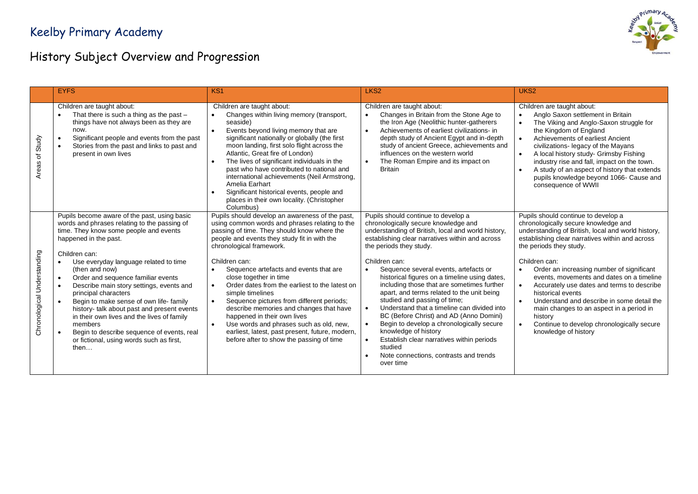

|                             | <b>EYFS</b>                                                                                                                                                                                                                                                                                                                                                                                                                                                                                                                                                                                                                                  | KS <sub>1</sub>                                                                                                                                                                                                                                                                                                                                                                                                                                                                                                                                                                                                                                                                                 | LKS <sub>2</sub>                                                                                                                                                                                                                                                                                                                                                                                                                                                                                                                                                                                                                                                                                                                     | UKS <sub>2</sub>                                                                                                                                                                                                                                                                                                                                                                                                                                                                                                                                                         |
|-----------------------------|----------------------------------------------------------------------------------------------------------------------------------------------------------------------------------------------------------------------------------------------------------------------------------------------------------------------------------------------------------------------------------------------------------------------------------------------------------------------------------------------------------------------------------------------------------------------------------------------------------------------------------------------|-------------------------------------------------------------------------------------------------------------------------------------------------------------------------------------------------------------------------------------------------------------------------------------------------------------------------------------------------------------------------------------------------------------------------------------------------------------------------------------------------------------------------------------------------------------------------------------------------------------------------------------------------------------------------------------------------|--------------------------------------------------------------------------------------------------------------------------------------------------------------------------------------------------------------------------------------------------------------------------------------------------------------------------------------------------------------------------------------------------------------------------------------------------------------------------------------------------------------------------------------------------------------------------------------------------------------------------------------------------------------------------------------------------------------------------------------|--------------------------------------------------------------------------------------------------------------------------------------------------------------------------------------------------------------------------------------------------------------------------------------------------------------------------------------------------------------------------------------------------------------------------------------------------------------------------------------------------------------------------------------------------------------------------|
| Study<br>৳<br><b>Areas</b>  | Children are taught about:<br>That there is such a thing as the past -<br>$\bullet$<br>things have not always been as they are<br>now.<br>Significant people and events from the past<br>$\bullet$<br>Stories from the past and links to past and<br>$\bullet$<br>present in own lives                                                                                                                                                                                                                                                                                                                                                       | Children are taught about:<br>Changes within living memory (transport,<br>$\bullet$<br>seaside)<br>Events beyond living memory that are<br>significant nationally or globally (the first<br>moon landing, first solo flight across the<br>Atlantic, Great fire of London)<br>The lives of significant individuals in the<br>past who have contributed to national and<br>international achievements (Neil Armstrong,<br>Amelia Earhart<br>Significant historical events, people and<br>places in their own locality. (Christopher<br>Columbus)                                                                                                                                                  | Children are taught about:<br>Changes in Britain from the Stone Age to<br>the Iron Age (Neolithic hunter-gatherers<br>Achievements of earliest civilizations- in<br>depth study of Ancient Egypt and in-depth<br>study of ancient Greece, achievements and<br>influences on the western world<br>The Roman Empire and its impact on<br><b>Britain</b>                                                                                                                                                                                                                                                                                                                                                                                | Children are taught about:<br>Anglo Saxon settlement in Britain<br>$\bullet$<br>The Viking and Anglo-Saxon struggle for<br>the Kingdom of England<br>Achievements of earliest Ancient<br>civilizations- legacy of the Mayans<br>A local history study- Grimsby Fishing<br>industry rise and fall, impact on the town.<br>A study of an aspect of history that extends<br>pupils knowledge beyond 1066- Cause and<br>consequence of WWII                                                                                                                                  |
| Chronological Understanding | Pupils become aware of the past, using basic<br>words and phrases relating to the passing of<br>time. They know some people and events<br>happened in the past.<br>Children can:<br>Use everyday language related to time<br>$\bullet$<br>(then and now)<br>Order and sequence familiar events<br>$\bullet$<br>Describe main story settings, events and<br>principal characters<br>Begin to make sense of own life- family<br>history- talk about past and present events<br>in their own lives and the lives of family<br>members<br>Begin to describe sequence of events, real<br>or fictional, using words such as first,<br>then $\dots$ | Pupils should develop an awareness of the past,<br>using common words and phrases relating to the<br>passing of time. They should know where the<br>people and events they study fit in with the<br>chronological framework.<br>Children can:<br>Sequence artefacts and events that are<br>$\bullet$<br>close together in time<br>Order dates from the earliest to the latest on<br>$\bullet$<br>simple timelines<br>Sequence pictures from different periods;<br>$\bullet$<br>describe memories and changes that have<br>happened in their own lives<br>Use words and phrases such as old, new,<br>earliest, latest, past present, future, modern,<br>before after to show the passing of time | Pupils should continue to develop a<br>chronologically secure knowledge and<br>understanding of British, local and world history,<br>establishing clear narratives within and across<br>the periods they study.<br>Children can:<br>Sequence several events, artefacts or<br>historical figures on a timeline using dates,<br>including those that are sometimes further<br>apart, and terms related to the unit being<br>studied and passing of time;<br>Understand that a timeline can divided into<br>BC (Before Christ) and AD (Anno Domini)<br>Begin to develop a chronologically secure<br>knowledge of history<br>Establish clear narratives within periods<br>studied<br>Note connections, contrasts and trends<br>over time | Pupils should continue to develop a<br>chronologically secure knowledge and<br>understanding of British, local and world history,<br>establishing clear narratives within and across<br>the periods they study.<br>Children can:<br>Order an increasing number of significant<br>events, movements and dates on a timeline<br>Accurately use dates and terms to describe<br>historical events<br>Understand and describe in some detail the<br>main changes to an aspect in a period in<br>history<br>Continue to develop chronologically secure<br>knowledge of history |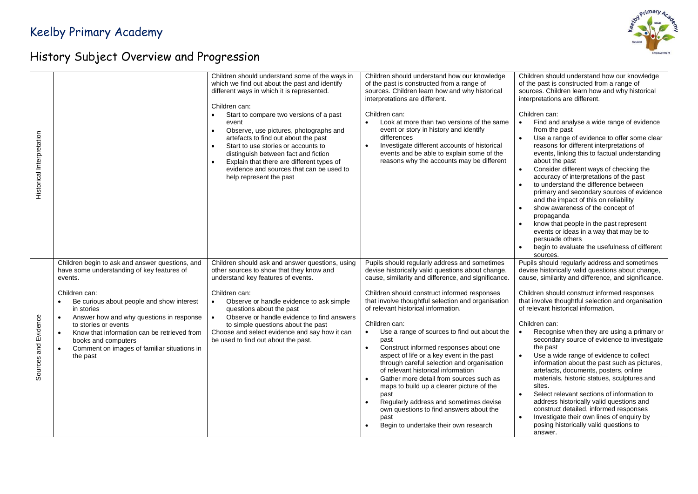

| Historical Interpretation |                                                                                                                                                                                                                                                                                                                                                                                                                     | Children should understand some of the ways in<br>which we find out about the past and identify<br>different ways in which it is represented.<br>Children can:<br>Start to compare two versions of a past<br>$\bullet$<br>event<br>Observe, use pictures, photographs and<br>$\bullet$<br>artefacts to find out about the past<br>Start to use stories or accounts to<br>$\bullet$<br>distinguish between fact and fiction<br>Explain that there are different types of<br>evidence and sources that can be used to<br>help represent the past | Children should understand how our knowledge<br>of the past is constructed from a range of<br>sources. Children learn how and why historical<br>interpretations are different.<br>Children can:<br>Look at more than two versions of the same<br>event or story in history and identify<br>differences<br>Investigate different accounts of historical<br>events and be able to explain some of the<br>reasons why the accounts may be different                                                                                                                                                                                                                                                                                                                                                                          | Children should understand how our knowledge<br>of the past is constructed from a range of<br>sources. Children learn how and why historical<br>interpretations are different.<br>Children can:<br>Find and analyse a wide range of evidence<br>from the past<br>Use a range of evidence to offer some clear<br>reasons for different interpretations of<br>events, linking this to factual understanding<br>about the past<br>Consider different ways of checking the<br>$\bullet$<br>accuracy of interpretations of the past<br>to understand the difference between<br>primary and secondary sources of evidence<br>and the impact of this on reliability<br>show awareness of the concept of<br>propaganda<br>know that people in the past represent<br>events or ideas in a way that may be to<br>persuade others<br>begin to evaluate the usefulness of different<br>$\bullet$<br>sources. |
|---------------------------|---------------------------------------------------------------------------------------------------------------------------------------------------------------------------------------------------------------------------------------------------------------------------------------------------------------------------------------------------------------------------------------------------------------------|------------------------------------------------------------------------------------------------------------------------------------------------------------------------------------------------------------------------------------------------------------------------------------------------------------------------------------------------------------------------------------------------------------------------------------------------------------------------------------------------------------------------------------------------|---------------------------------------------------------------------------------------------------------------------------------------------------------------------------------------------------------------------------------------------------------------------------------------------------------------------------------------------------------------------------------------------------------------------------------------------------------------------------------------------------------------------------------------------------------------------------------------------------------------------------------------------------------------------------------------------------------------------------------------------------------------------------------------------------------------------------|--------------------------------------------------------------------------------------------------------------------------------------------------------------------------------------------------------------------------------------------------------------------------------------------------------------------------------------------------------------------------------------------------------------------------------------------------------------------------------------------------------------------------------------------------------------------------------------------------------------------------------------------------------------------------------------------------------------------------------------------------------------------------------------------------------------------------------------------------------------------------------------------------|
| Sources and Evidence      | Children begin to ask and answer questions, and<br>have some understanding of key features of<br>events.<br>Children can:<br>Be curious about people and show interest<br>in stories<br>Answer how and why questions in response<br>$\bullet$<br>to stories or events<br>Know that information can be retrieved from<br>$\bullet$<br>books and computers<br>Comment on images of familiar situations in<br>the past | Children should ask and answer questions, using<br>other sources to show that they know and<br>understand key features of events.<br>Children can:<br>Observe or handle evidence to ask simple<br>questions about the past<br>Observe or handle evidence to find answers<br>$\bullet$<br>to simple questions about the past<br>Choose and select evidence and say how it can<br>be used to find out about the past.                                                                                                                            | Pupils should regularly address and sometimes<br>devise historically valid questions about change,<br>cause, similarity and difference, and significance<br>Children should construct informed responses<br>that involve thoughtful selection and organisation<br>of relevant historical information.<br>Children can:<br>Use a range of sources to find out about the<br>$\bullet$<br>past<br>Construct informed responses about one<br>$\bullet$<br>aspect of life or a key event in the past<br>through careful selection and organisation<br>of relevant historical information<br>Gather more detail from sources such as<br>maps to build up a clearer picture of the<br>past<br>Regularly address and sometimes devise<br>own questions to find answers about the<br>past<br>Begin to undertake their own research | Pupils should regularly address and sometimes<br>devise historically valid questions about change,<br>cause, similarity and difference, and significance.<br>Children should construct informed responses<br>that involve thoughtful selection and organisation<br>of relevant historical information.<br>Children can:<br>Recognise when they are using a primary or<br>secondary source of evidence to investigate<br>the past<br>Use a wide range of evidence to collect<br>information about the past such as pictures,<br>artefacts, documents, posters, online<br>materials, historic statues, sculptures and<br>sites.<br>Select relevant sections of information to<br>$\bullet$<br>address historically valid questions and<br>construct detailed, informed responses<br>Investigate their own lines of enquiry by<br>$\bullet$<br>posing historically valid questions to<br>answer.    |